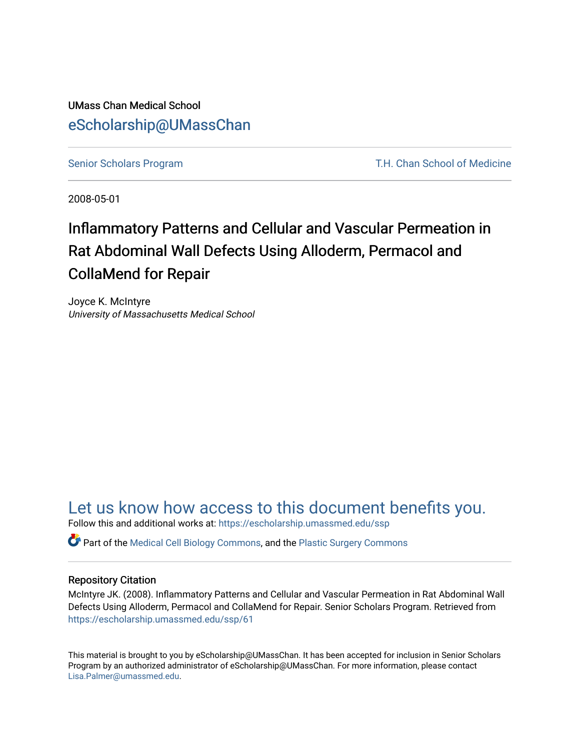UMass Chan Medical School [eScholarship@UMassChan](https://escholarship.umassmed.edu/) 

[Senior Scholars Program](https://escholarship.umassmed.edu/ssp) T.H. Chan School of Medicine

2008-05-01

# Inflammatory Patterns and Cellular and Vascular Permeation in Rat Abdominal Wall Defects Using Alloderm, Permacol and CollaMend for Repair

Joyce K. McIntyre University of Massachusetts Medical School

## [Let us know how access to this document benefits you.](https://arcsapps.umassmed.edu/redcap/surveys/?s=XWRHNF9EJE)

Follow this and additional works at: [https://escholarship.umassmed.edu/ssp](https://escholarship.umassmed.edu/ssp?utm_source=escholarship.umassmed.edu%2Fssp%2F61&utm_medium=PDF&utm_campaign=PDFCoverPages) 

Part of the [Medical Cell Biology Commons](http://network.bepress.com/hgg/discipline/669?utm_source=escholarship.umassmed.edu%2Fssp%2F61&utm_medium=PDF&utm_campaign=PDFCoverPages), and the [Plastic Surgery Commons](http://network.bepress.com/hgg/discipline/701?utm_source=escholarship.umassmed.edu%2Fssp%2F61&utm_medium=PDF&utm_campaign=PDFCoverPages) 

#### Repository Citation

McIntyre JK. (2008). Inflammatory Patterns and Cellular and Vascular Permeation in Rat Abdominal Wall Defects Using Alloderm, Permacol and CollaMend for Repair. Senior Scholars Program. Retrieved from [https://escholarship.umassmed.edu/ssp/61](https://escholarship.umassmed.edu/ssp/61?utm_source=escholarship.umassmed.edu%2Fssp%2F61&utm_medium=PDF&utm_campaign=PDFCoverPages) 

This material is brought to you by eScholarship@UMassChan. It has been accepted for inclusion in Senior Scholars Program by an authorized administrator of eScholarship@UMassChan. For more information, please contact [Lisa.Palmer@umassmed.edu](mailto:Lisa.Palmer@umassmed.edu).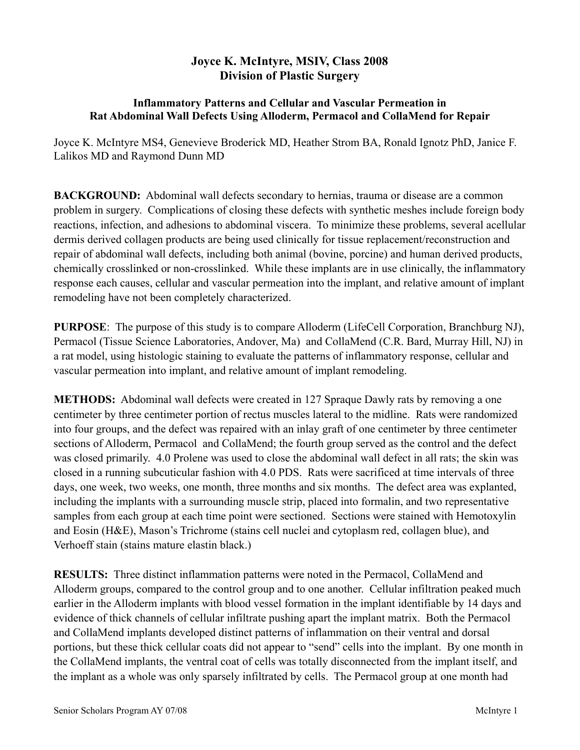## **Joyce K. McIntyre, MSIV, Class 2008 Division of Plastic Surgery**

### **Inflammatory Patterns and Cellular and Vascular Permeation in Rat Abdominal Wall Defects Using Alloderm, Permacol and CollaMend for Repair**

Joyce K. McIntyre MS4, Genevieve Broderick MD, Heather Strom BA, Ronald Ignotz PhD, Janice F. Lalikos MD and Raymond Dunn MD

**BACKGROUND:** Abdominal wall defects secondary to hernias, trauma or disease are a common problem in surgery. Complications of closing these defects with synthetic meshes include foreign body reactions, infection, and adhesions to abdominal viscera. To minimize these problems, several acellular dermis derived collagen products are being used clinically for tissue replacement/reconstruction and repair of abdominal wall defects, including both animal (bovine, porcine) and human derived products, chemically crosslinked or non-crosslinked. While these implants are in use clinically, the inflammatory response each causes, cellular and vascular permeation into the implant, and relative amount of implant remodeling have not been completely characterized.

**PURPOSE**: The purpose of this study is to compare Alloderm (LifeCell Corporation, Branchburg NJ), Permacol (Tissue Science Laboratories, Andover, Ma) and CollaMend (C.R. Bard, Murray Hill, NJ) in a rat model, using histologic staining to evaluate the patterns of inflammatory response, cellular and vascular permeation into implant, and relative amount of implant remodeling.

**METHODS:** Abdominal wall defects were created in 127 Spraque Dawly rats by removing a one centimeter by three centimeter portion of rectus muscles lateral to the midline. Rats were randomized into four groups, and the defect was repaired with an inlay graft of one centimeter by three centimeter sections of Alloderm, Permacol and CollaMend; the fourth group served as the control and the defect was closed primarily. 4.0 Prolene was used to close the abdominal wall defect in all rats; the skin was closed in a running subcuticular fashion with 4.0 PDS. Rats were sacrificed at time intervals of three days, one week, two weeks, one month, three months and six months. The defect area was explanted, including the implants with a surrounding muscle strip, placed into formalin, and two representative samples from each group at each time point were sectioned. Sections were stained with Hemotoxylin and Eosin (H&E), Mason's Trichrome (stains cell nuclei and cytoplasm red, collagen blue), and Verhoeff stain (stains mature elastin black.)

**RESULTS:** Three distinct inflammation patterns were noted in the Permacol, CollaMend and Alloderm groups, compared to the control group and to one another. Cellular infiltration peaked much earlier in the Alloderm implants with blood vessel formation in the implant identifiable by 14 days and evidence of thick channels of cellular infiltrate pushing apart the implant matrix. Both the Permacol and CollaMend implants developed distinct patterns of inflammation on their ventral and dorsal portions, but these thick cellular coats did not appear to "send" cells into the implant. By one month in the CollaMend implants, the ventral coat of cells was totally disconnected from the implant itself, and the implant as a whole was only sparsely infiltrated by cells. The Permacol group at one month had